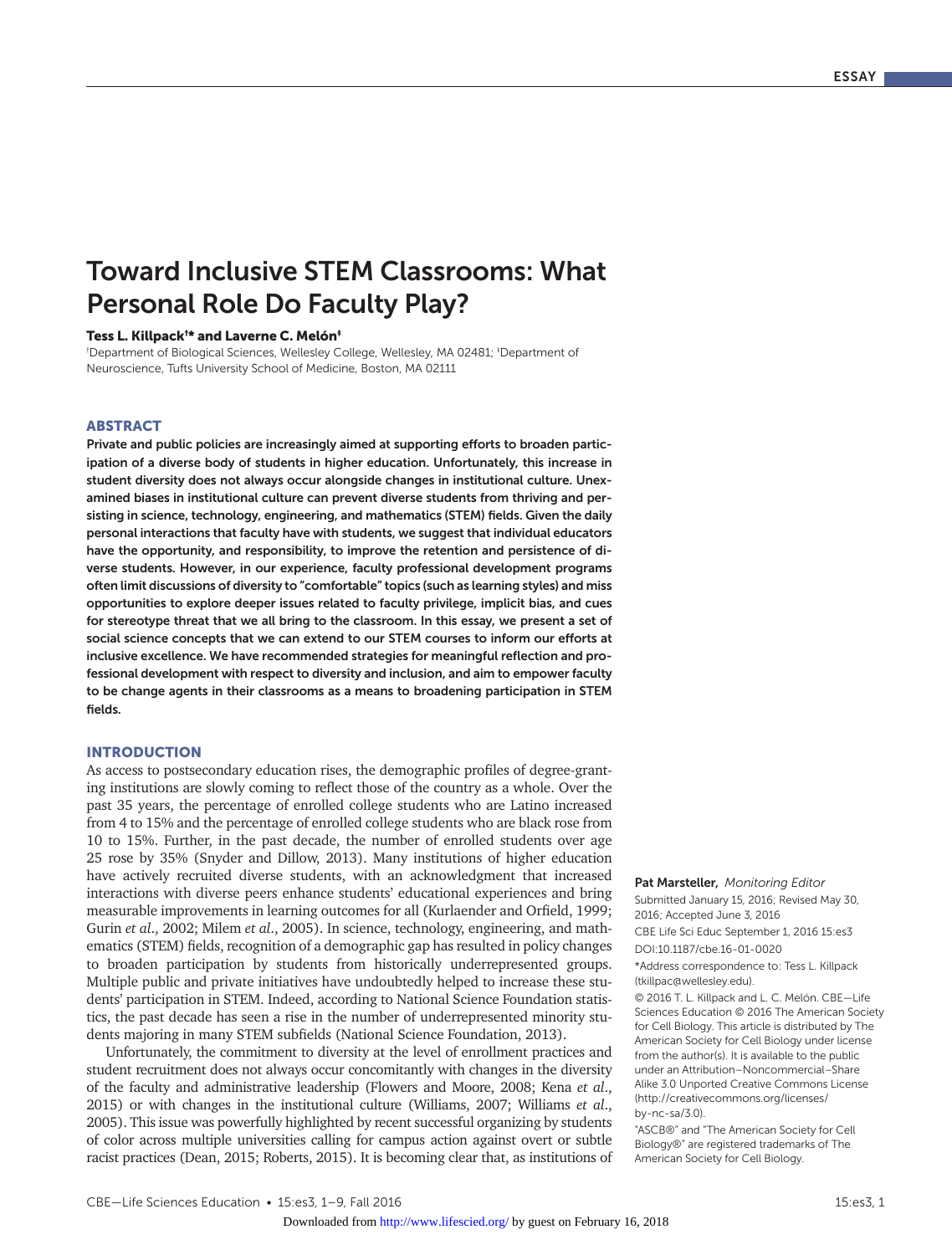# Toward Inclusive STEM Classrooms: What Personal Role Do Faculty Play?

#### Tess L. Killpack† \* and Laverne C. Melón‡

† Department of Biological Sciences, Wellesley College, Wellesley, MA 02481; ‡ Department of Neuroscience, Tufts University School of Medicine, Boston, MA 02111

#### ABSTRACT

Private and public policies are increasingly aimed at supporting efforts to broaden participation of a diverse body of students in higher education. Unfortunately, this increase in student diversity does not always occur alongside changes in institutional culture. Unexamined biases in institutional culture can prevent diverse students from thriving and persisting in science, technology, engineering, and mathematics (STEM) fields. Given the daily personal interactions that faculty have with students, we suggest that individual educators have the opportunity, and responsibility, to improve the retention and persistence of diverse students. However, in our experience, faculty professional development programs often limit discussions of diversity to "comfortable" topics (such as learning styles) and miss opportunities to explore deeper issues related to faculty privilege, implicit bias, and cues for stereotype threat that we all bring to the classroom. In this essay, we present a set of social science concepts that we can extend to our STEM courses to inform our efforts at inclusive excellence. We have recommended strategies for meaningful reflection and professional development with respect to diversity and inclusion, and aim to empower faculty to be change agents in their classrooms as a means to broadening participation in STEM fields.

#### INTRODUCTION

As access to postsecondary education rises, the demographic profiles of degree-granting institutions are slowly coming to reflect those of the country as a whole. Over the past 35 years, the percentage of enrolled college students who are Latino increased from 4 to 15% and the percentage of enrolled college students who are black rose from 10 to 15%. Further, in the past decade, the number of enrolled students over age 25 rose by 35% (Snyder and Dillow, 2013). Many institutions of higher education have actively recruited diverse students, with an acknowledgment that increased interactions with diverse peers enhance students' educational experiences and bring measurable improvements in learning outcomes for all (Kurlaender and Orfield, 1999; Gurin *et al*., 2002; Milem *et al*., 2005). In science, technology, engineering, and mathematics (STEM) fields, recognition of a demographic gap has resulted in policy changes to broaden participation by students from historically underrepresented groups. Multiple public and private initiatives have undoubtedly helped to increase these students' participation in STEM. Indeed, according to National Science Foundation statistics, the past decade has seen a rise in the number of underrepresented minority students majoring in many STEM subfields (National Science Foundation, 2013).

Unfortunately, the commitment to diversity at the level of enrollment practices and student recruitment does not always occur concomitantly with changes in the diversity of the faculty and administrative leadership (Flowers and Moore, 2008; Kena *et al*., 2015) or with changes in the institutional culture (Williams, 2007; Williams *et al*., 2005). This issue was powerfully highlighted by recent successful organizing by students of color across multiple universities calling for campus action against overt or subtle racist practices (Dean, 2015; Roberts, 2015). It is becoming clear that, as institutions of

#### Pat Marsteller, *Monitoring Editor*

Submitted January 15, 2016; Revised May 30, 2016; Accepted June 3, 2016

CBE Life Sci Educ September 1, 2016 15:es3

DOI:10.1187/cbe.16-01-0020

\*Address correspondence to: Tess L. Killpack (tkillpac@wellesley.edu).

© 2016 T. L. Killpack and L. C. Melón. CBE—Life Sciences Education © 2016 The American Society for Cell Biology. This article is distributed by The American Society for Cell Biology under license from the author(s). It is available to the public under an Attribution–Noncommercial–Share Alike 3.0 Unported Creative Commons License (http://creativecommons.org/licenses/ by-nc-sa/3.0).

"ASCB®" and "The American Society for Cell Biology®" are registered trademarks of The American Society for Cell Biology.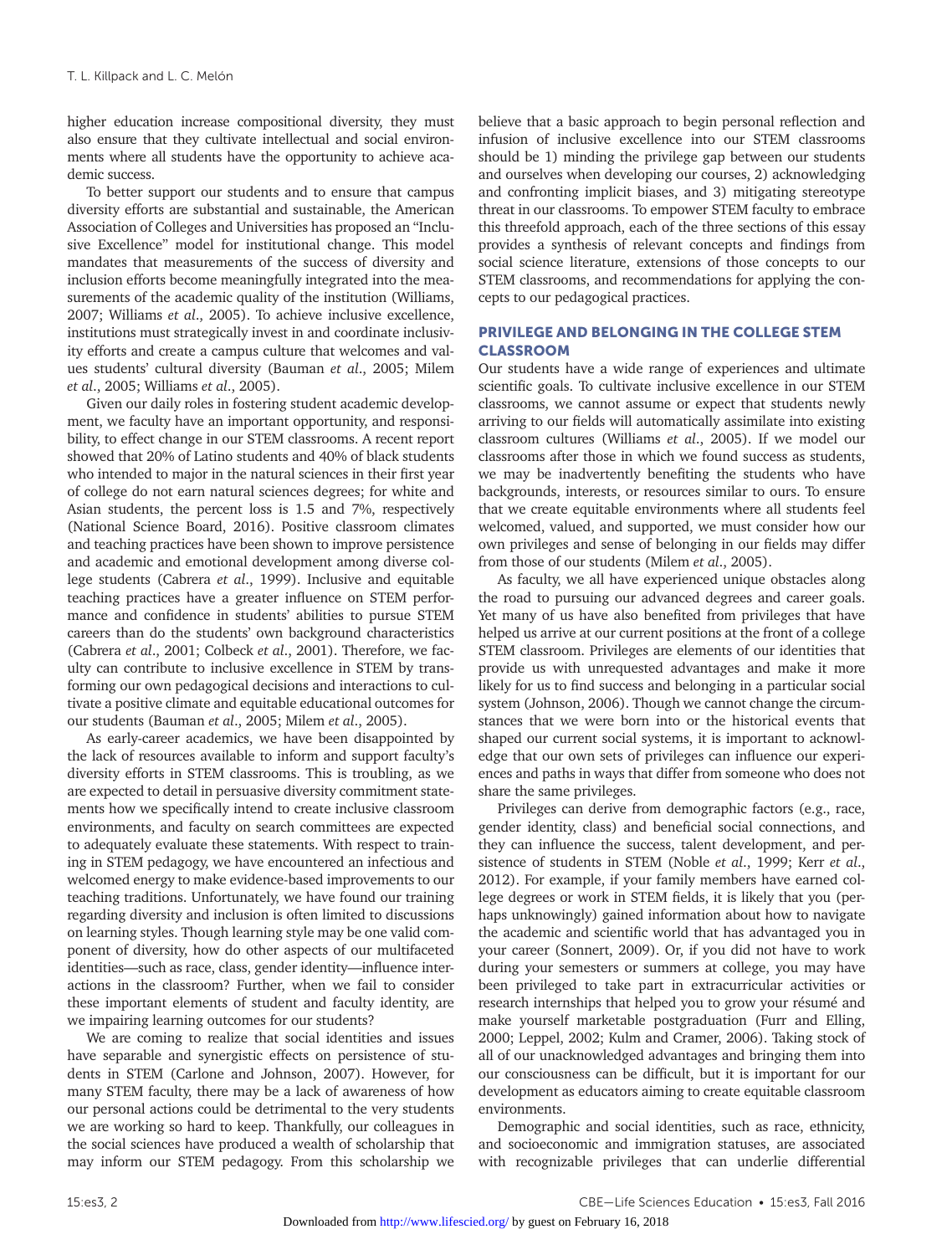higher education increase compositional diversity, they must also ensure that they cultivate intellectual and social environments where all students have the opportunity to achieve academic success.

To better support our students and to ensure that campus diversity efforts are substantial and sustainable, the American Association of Colleges and Universities has proposed an "Inclusive Excellence" model for institutional change. This model mandates that measurements of the success of diversity and inclusion efforts become meaningfully integrated into the measurements of the academic quality of the institution (Williams, 2007; Williams *et al*., 2005). To achieve inclusive excellence, institutions must strategically invest in and coordinate inclusivity efforts and create a campus culture that welcomes and values students' cultural diversity (Bauman *et al*., 2005; Milem *et al*., 2005; Williams *et al*., 2005).

Given our daily roles in fostering student academic development, we faculty have an important opportunity, and responsibility, to effect change in our STEM classrooms. A recent report showed that 20% of Latino students and 40% of black students who intended to major in the natural sciences in their first year of college do not earn natural sciences degrees; for white and Asian students, the percent loss is 1.5 and 7%, respectively (National Science Board, 2016). Positive classroom climates and teaching practices have been shown to improve persistence and academic and emotional development among diverse college students (Cabrera *et al*., 1999). Inclusive and equitable teaching practices have a greater influence on STEM performance and confidence in students' abilities to pursue STEM careers than do the students' own background characteristics (Cabrera *et al*., 2001; Colbeck *et al*., 2001). Therefore, we faculty can contribute to inclusive excellence in STEM by transforming our own pedagogical decisions and interactions to cultivate a positive climate and equitable educational outcomes for our students (Bauman *et al*., 2005; Milem *et al*., 2005).

As early-career academics, we have been disappointed by the lack of resources available to inform and support faculty's diversity efforts in STEM classrooms. This is troubling, as we are expected to detail in persuasive diversity commitment statements how we specifically intend to create inclusive classroom environments, and faculty on search committees are expected to adequately evaluate these statements. With respect to training in STEM pedagogy, we have encountered an infectious and welcomed energy to make evidence-based improvements to our teaching traditions. Unfortunately, we have found our training regarding diversity and inclusion is often limited to discussions on learning styles. Though learning style may be one valid component of diversity, how do other aspects of our multifaceted identities—such as race, class, gender identity—influence interactions in the classroom? Further, when we fail to consider these important elements of student and faculty identity, are we impairing learning outcomes for our students?

We are coming to realize that social identities and issues have separable and synergistic effects on persistence of students in STEM (Carlone and Johnson, 2007). However, for many STEM faculty, there may be a lack of awareness of how our personal actions could be detrimental to the very students we are working so hard to keep. Thankfully, our colleagues in the social sciences have produced a wealth of scholarship that may inform our STEM pedagogy. From this scholarship we believe that a basic approach to begin personal reflection and infusion of inclusive excellence into our STEM classrooms should be 1) minding the privilege gap between our students and ourselves when developing our courses, 2) acknowledging and confronting implicit biases, and 3) mitigating stereotype threat in our classrooms. To empower STEM faculty to embrace this threefold approach, each of the three sections of this essay provides a synthesis of relevant concepts and findings from social science literature, extensions of those concepts to our STEM classrooms, and recommendations for applying the concepts to our pedagogical practices.

# PRIVILEGE AND BELONGING IN THE COLLEGE STEM **CLASSROOM**

Our students have a wide range of experiences and ultimate scientific goals. To cultivate inclusive excellence in our STEM classrooms, we cannot assume or expect that students newly arriving to our fields will automatically assimilate into existing classroom cultures (Williams *et al*., 2005). If we model our classrooms after those in which we found success as students, we may be inadvertently benefiting the students who have backgrounds, interests, or resources similar to ours. To ensure that we create equitable environments where all students feel welcomed, valued, and supported, we must consider how our own privileges and sense of belonging in our fields may differ from those of our students (Milem *et al*., 2005).

As faculty, we all have experienced unique obstacles along the road to pursuing our advanced degrees and career goals. Yet many of us have also benefited from privileges that have helped us arrive at our current positions at the front of a college STEM classroom. Privileges are elements of our identities that provide us with unrequested advantages and make it more likely for us to find success and belonging in a particular social system (Johnson, 2006). Though we cannot change the circumstances that we were born into or the historical events that shaped our current social systems, it is important to acknowledge that our own sets of privileges can influence our experiences and paths in ways that differ from someone who does not share the same privileges.

Privileges can derive from demographic factors (e.g., race, gender identity, class) and beneficial social connections, and they can influence the success, talent development, and persistence of students in STEM (Noble *et al*., 1999; Kerr *et al*., 2012). For example, if your family members have earned college degrees or work in STEM fields, it is likely that you (perhaps unknowingly) gained information about how to navigate the academic and scientific world that has advantaged you in your career (Sonnert, 2009). Or, if you did not have to work during your semesters or summers at college, you may have been privileged to take part in extracurricular activities or research internships that helped you to grow your résumé and make yourself marketable postgraduation (Furr and Elling, 2000; Leppel, 2002; Kulm and Cramer, 2006). Taking stock of all of our unacknowledged advantages and bringing them into our consciousness can be difficult, but it is important for our development as educators aiming to create equitable classroom environments.

Demographic and social identities, such as race, ethnicity, and socioeconomic and immigration statuses, are associated with recognizable privileges that can underlie differential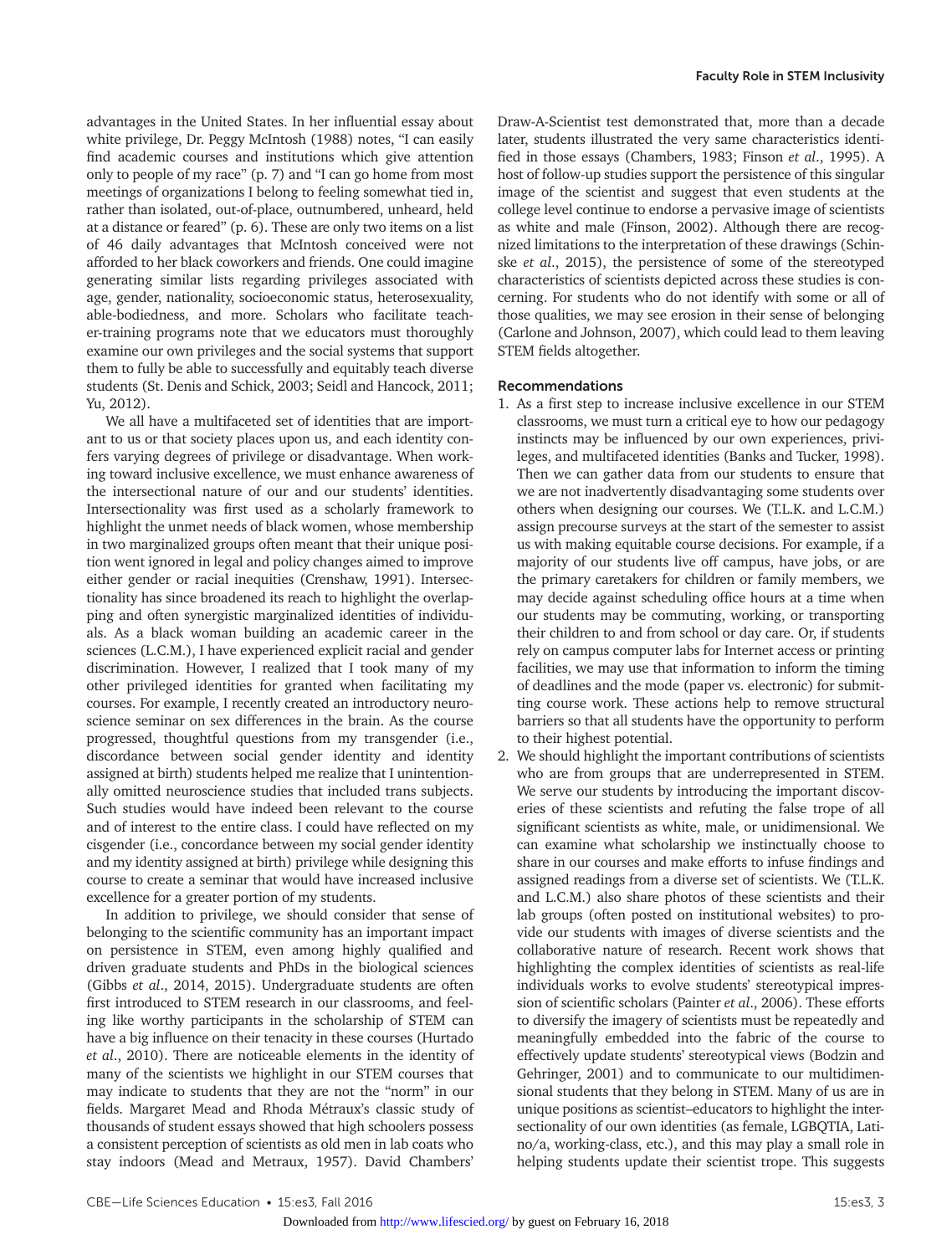advantages in the United States. In her influential essay about white privilege, Dr. Peggy McIntosh (1988) notes, "I can easily find academic courses and institutions which give attention only to people of my race" (p. 7) and "I can go home from most meetings of organizations I belong to feeling somewhat tied in, rather than isolated, out-of-place, outnumbered, unheard, held at a distance or feared" (p. 6). These are only two items on a list of 46 daily advantages that McIntosh conceived were not afforded to her black coworkers and friends. One could imagine generating similar lists regarding privileges associated with age, gender, nationality, socioeconomic status, heterosexuality, able-bodiedness, and more. Scholars who facilitate teacher-training programs note that we educators must thoroughly examine our own privileges and the social systems that support them to fully be able to successfully and equitably teach diverse students (St. Denis and Schick, 2003; Seidl and Hancock, 2011; Yu, 2012).

We all have a multifaceted set of identities that are important to us or that society places upon us, and each identity confers varying degrees of privilege or disadvantage. When working toward inclusive excellence, we must enhance awareness of the intersectional nature of our and our students' identities. Intersectionality was first used as a scholarly framework to highlight the unmet needs of black women, whose membership in two marginalized groups often meant that their unique position went ignored in legal and policy changes aimed to improve either gender or racial inequities (Crenshaw, 1991). Intersectionality has since broadened its reach to highlight the overlapping and often synergistic marginalized identities of individuals. As a black woman building an academic career in the sciences (L.C.M.), I have experienced explicit racial and gender discrimination. However, I realized that I took many of my other privileged identities for granted when facilitating my courses. For example, I recently created an introductory neuroscience seminar on sex differences in the brain. As the course progressed, thoughtful questions from my transgender (i.e., discordance between social gender identity and identity assigned at birth) students helped me realize that I unintentionally omitted neuroscience studies that included trans subjects. Such studies would have indeed been relevant to the course and of interest to the entire class. I could have reflected on my cisgender (i.e., concordance between my social gender identity and my identity assigned at birth) privilege while designing this course to create a seminar that would have increased inclusive excellence for a greater portion of my students.

In addition to privilege, we should consider that sense of belonging to the scientific community has an important impact on persistence in STEM, even among highly qualified and driven graduate students and PhDs in the biological sciences (Gibbs *et al*., 2014, 2015). Undergraduate students are often first introduced to STEM research in our classrooms, and feeling like worthy participants in the scholarship of STEM can have a big influence on their tenacity in these courses (Hurtado *et al*., 2010). There are noticeable elements in the identity of many of the scientists we highlight in our STEM courses that may indicate to students that they are not the "norm" in our fields. Margaret Mead and Rhoda Métraux's classic study of thousands of student essays showed that high schoolers possess a consistent perception of scientists as old men in lab coats who stay indoors (Mead and Metraux, 1957). David Chambers'

Draw-A-Scientist test demonstrated that, more than a decade later, students illustrated the very same characteristics identified in those essays (Chambers, 1983; Finson *et al*., 1995). A host of follow-up studies support the persistence of this singular image of the scientist and suggest that even students at the college level continue to endorse a pervasive image of scientists as white and male (Finson, 2002). Although there are recognized limitations to the interpretation of these drawings (Schinske *et al*., 2015), the persistence of some of the stereotyped characteristics of scientists depicted across these studies is concerning. For students who do not identify with some or all of those qualities, we may see erosion in their sense of belonging (Carlone and Johnson, 2007), which could lead to them leaving STEM fields altogether.

### Recommendations

- 1. As a first step to increase inclusive excellence in our STEM classrooms, we must turn a critical eye to how our pedagogy instincts may be influenced by our own experiences, privileges, and multifaceted identities (Banks and Tucker, 1998). Then we can gather data from our students to ensure that we are not inadvertently disadvantaging some students over others when designing our courses. We (T.L.K. and L.C.M.) assign precourse surveys at the start of the semester to assist us with making equitable course decisions. For example, if a majority of our students live off campus, have jobs, or are the primary caretakers for children or family members, we may decide against scheduling office hours at a time when our students may be commuting, working, or transporting their children to and from school or day care. Or, if students rely on campus computer labs for Internet access or printing facilities, we may use that information to inform the timing of deadlines and the mode (paper vs. electronic) for submitting course work. These actions help to remove structural barriers so that all students have the opportunity to perform to their highest potential.
- 2. We should highlight the important contributions of scientists who are from groups that are underrepresented in STEM. We serve our students by introducing the important discoveries of these scientists and refuting the false trope of all significant scientists as white, male, or unidimensional. We can examine what scholarship we instinctually choose to share in our courses and make efforts to infuse findings and assigned readings from a diverse set of scientists. We (T.L.K. and L.C.M.) also share photos of these scientists and their lab groups (often posted on institutional websites) to provide our students with images of diverse scientists and the collaborative nature of research. Recent work shows that highlighting the complex identities of scientists as real-life individuals works to evolve students' stereotypical impression of scientific scholars (Painter *et al*., 2006). These efforts to diversify the imagery of scientists must be repeatedly and meaningfully embedded into the fabric of the course to effectively update students' stereotypical views (Bodzin and Gehringer, 2001) and to communicate to our multidimensional students that they belong in STEM. Many of us are in unique positions as scientist–educators to highlight the intersectionality of our own identities (as female, LGBQTIA, Latino/a, working-class, etc.), and this may play a small role in helping students update their scientist trope. This suggests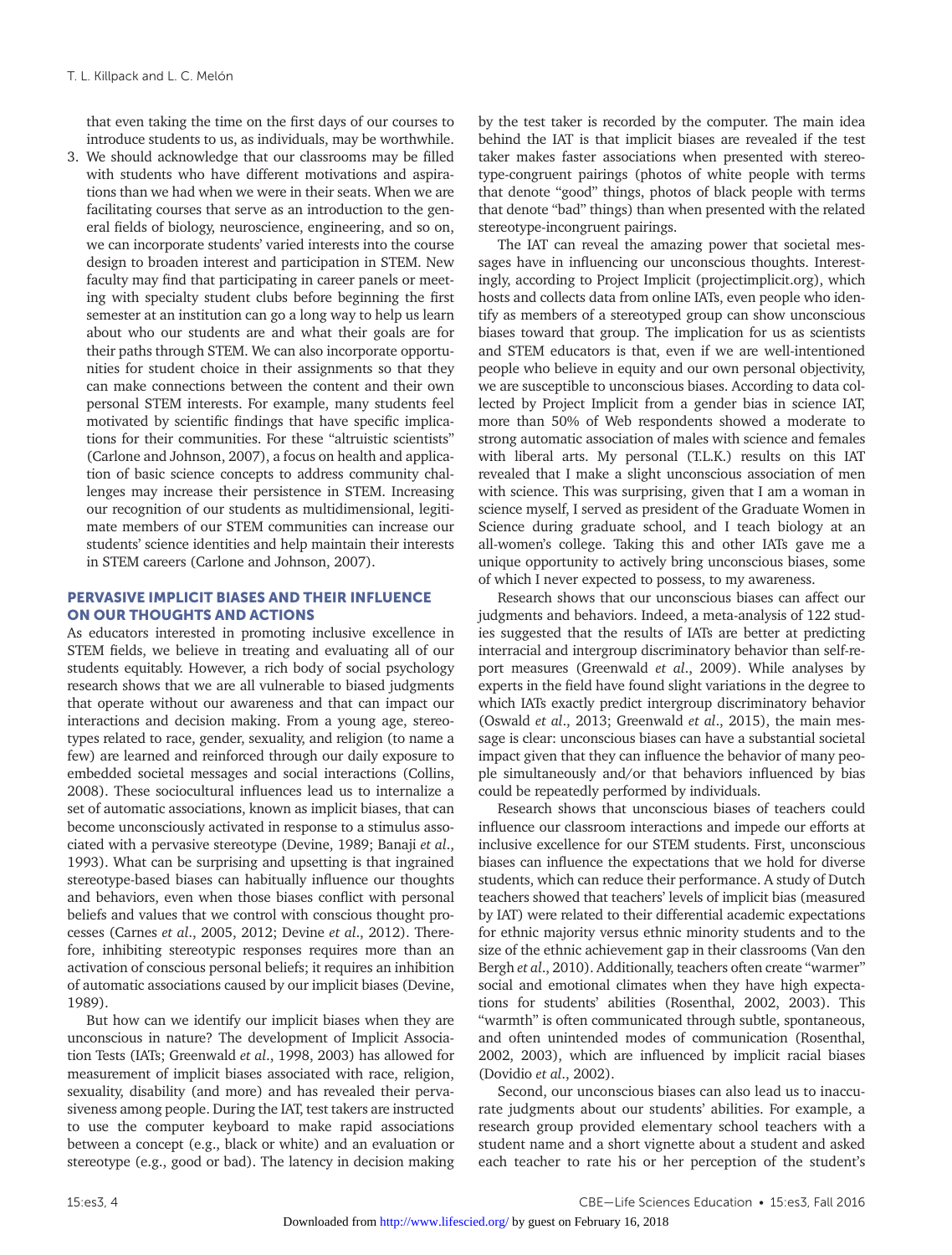that even taking the time on the first days of our courses to introduce students to us, as individuals, may be worthwhile.

3. We should acknowledge that our classrooms may be filled with students who have different motivations and aspirations than we had when we were in their seats. When we are facilitating courses that serve as an introduction to the general fields of biology, neuroscience, engineering, and so on, we can incorporate students' varied interests into the course design to broaden interest and participation in STEM. New faculty may find that participating in career panels or meeting with specialty student clubs before beginning the first semester at an institution can go a long way to help us learn about who our students are and what their goals are for their paths through STEM. We can also incorporate opportunities for student choice in their assignments so that they can make connections between the content and their own personal STEM interests. For example, many students feel motivated by scientific findings that have specific implications for their communities. For these "altruistic scientists" (Carlone and Johnson, 2007), a focus on health and application of basic science concepts to address community challenges may increase their persistence in STEM. Increasing our recognition of our students as multidimensional, legitimate members of our STEM communities can increase our students' science identities and help maintain their interests in STEM careers (Carlone and Johnson, 2007).

## PERVASIVE IMPLICIT BIASES AND THEIR INFLUENCE ON OUR THOUGHTS AND ACTIONS

As educators interested in promoting inclusive excellence in STEM fields, we believe in treating and evaluating all of our students equitably. However, a rich body of social psychology research shows that we are all vulnerable to biased judgments that operate without our awareness and that can impact our interactions and decision making. From a young age, stereotypes related to race, gender, sexuality, and religion (to name a few) are learned and reinforced through our daily exposure to embedded societal messages and social interactions (Collins, 2008). These sociocultural influences lead us to internalize a set of automatic associations, known as implicit biases, that can become unconsciously activated in response to a stimulus associated with a pervasive stereotype (Devine, 1989; Banaji *et al*., 1993). What can be surprising and upsetting is that ingrained stereotype-based biases can habitually influence our thoughts and behaviors, even when those biases conflict with personal beliefs and values that we control with conscious thought processes (Carnes *et al*., 2005, 2012; Devine *et al*., 2012). Therefore, inhibiting stereotypic responses requires more than an activation of conscious personal beliefs; it requires an inhibition of automatic associations caused by our implicit biases (Devine, 1989).

But how can we identify our implicit biases when they are unconscious in nature? The development of Implicit Association Tests (IATs; Greenwald *et al*., 1998, 2003) has allowed for measurement of implicit biases associated with race, religion, sexuality, disability (and more) and has revealed their pervasiveness among people. During the IAT, test takers are instructed to use the computer keyboard to make rapid associations between a concept (e.g., black or white) and an evaluation or stereotype (e.g., good or bad). The latency in decision making by the test taker is recorded by the computer. The main idea behind the IAT is that implicit biases are revealed if the test taker makes faster associations when presented with stereotype-congruent pairings (photos of white people with terms that denote "good" things, photos of black people with terms that denote "bad" things) than when presented with the related stereotype-incongruent pairings.

The IAT can reveal the amazing power that societal messages have in influencing our unconscious thoughts. Interestingly, according to Project Implicit (projectimplicit.org), which hosts and collects data from online IATs, even people who identify as members of a stereotyped group can show unconscious biases toward that group. The implication for us as scientists and STEM educators is that, even if we are well-intentioned people who believe in equity and our own personal objectivity, we are susceptible to unconscious biases. According to data collected by Project Implicit from a gender bias in science IAT, more than 50% of Web respondents showed a moderate to strong automatic association of males with science and females with liberal arts. My personal (T.L.K.) results on this IAT revealed that I make a slight unconscious association of men with science. This was surprising, given that I am a woman in science myself, I served as president of the Graduate Women in Science during graduate school, and I teach biology at an all-women's college. Taking this and other IATs gave me a unique opportunity to actively bring unconscious biases, some of which I never expected to possess, to my awareness.

Research shows that our unconscious biases can affect our judgments and behaviors. Indeed, a meta-analysis of 122 studies suggested that the results of IATs are better at predicting interracial and intergroup discriminatory behavior than self-report measures (Greenwald *et al*., 2009). While analyses by experts in the field have found slight variations in the degree to which IATs exactly predict intergroup discriminatory behavior (Oswald *et al*., 2013; Greenwald *et al*., 2015), the main message is clear: unconscious biases can have a substantial societal impact given that they can influence the behavior of many people simultaneously and/or that behaviors influenced by bias could be repeatedly performed by individuals.

Research shows that unconscious biases of teachers could influence our classroom interactions and impede our efforts at inclusive excellence for our STEM students. First, unconscious biases can influence the expectations that we hold for diverse students, which can reduce their performance. A study of Dutch teachers showed that teachers' levels of implicit bias (measured by IAT) were related to their differential academic expectations for ethnic majority versus ethnic minority students and to the size of the ethnic achievement gap in their classrooms (Van den Bergh *et al*., 2010). Additionally, teachers often create "warmer" social and emotional climates when they have high expectations for students' abilities (Rosenthal, 2002, 2003). This "warmth" is often communicated through subtle, spontaneous, and often unintended modes of communication (Rosenthal, 2002, 2003), which are influenced by implicit racial biases (Dovidio *et al*., 2002).

Second, our unconscious biases can also lead us to inaccurate judgments about our students' abilities. For example, a research group provided elementary school teachers with a student name and a short vignette about a student and asked each teacher to rate his or her perception of the student's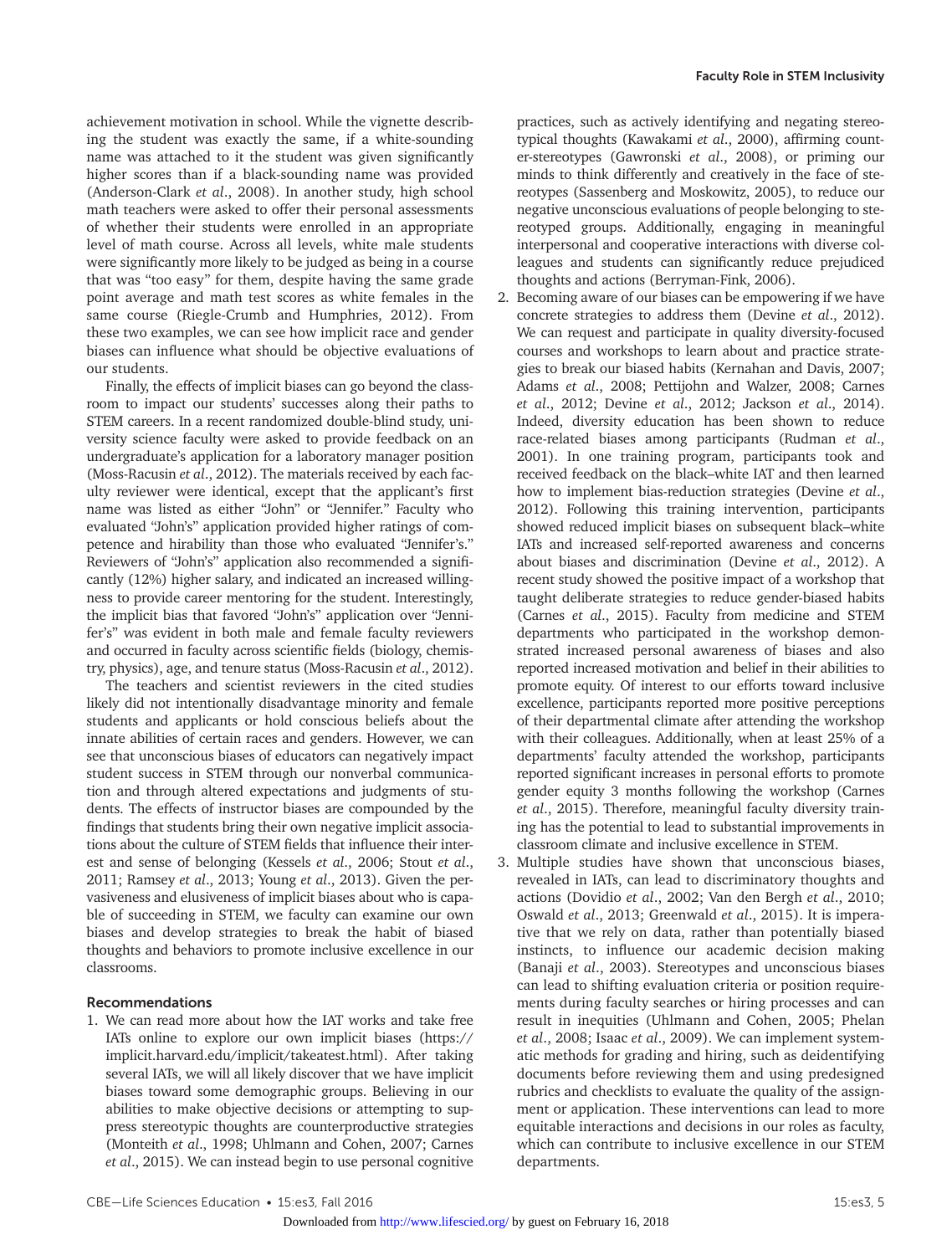achievement motivation in school. While the vignette describing the student was exactly the same, if a white-sounding name was attached to it the student was given significantly higher scores than if a black-sounding name was provided (Anderson-Clark *et al*., 2008). In another study, high school math teachers were asked to offer their personal assessments of whether their students were enrolled in an appropriate level of math course. Across all levels, white male students were significantly more likely to be judged as being in a course that was "too easy" for them, despite having the same grade point average and math test scores as white females in the same course (Riegle-Crumb and Humphries, 2012). From these two examples, we can see how implicit race and gender biases can influence what should be objective evaluations of our students.

Finally, the effects of implicit biases can go beyond the classroom to impact our students' successes along their paths to STEM careers. In a recent randomized double-blind study, university science faculty were asked to provide feedback on an undergraduate's application for a laboratory manager position (Moss-Racusin *et al*., 2012). The materials received by each faculty reviewer were identical, except that the applicant's first name was listed as either "John" or "Jennifer." Faculty who evaluated "John's" application provided higher ratings of competence and hirability than those who evaluated "Jennifer's." Reviewers of "John's" application also recommended a significantly (12%) higher salary, and indicated an increased willingness to provide career mentoring for the student. Interestingly, the implicit bias that favored "John's" application over "Jennifer's" was evident in both male and female faculty reviewers and occurred in faculty across scientific fields (biology, chemistry, physics), age, and tenure status (Moss-Racusin *et al*., 2012).

The teachers and scientist reviewers in the cited studies likely did not intentionally disadvantage minority and female students and applicants or hold conscious beliefs about the innate abilities of certain races and genders. However, we can see that unconscious biases of educators can negatively impact student success in STEM through our nonverbal communication and through altered expectations and judgments of students. The effects of instructor biases are compounded by the findings that students bring their own negative implicit associations about the culture of STEM fields that influence their interest and sense of belonging (Kessels *et al*., 2006; Stout *et al*., 2011; Ramsey *et al*., 2013; Young *et al*., 2013). Given the pervasiveness and elusiveness of implicit biases about who is capable of succeeding in STEM, we faculty can examine our own biases and develop strategies to break the habit of biased thoughts and behaviors to promote inclusive excellence in our classrooms.

## Recommendations

1. We can read more about how the IAT works and take free IATs online to explore our own implicit biases (https:// implicit.harvard.edu/implicit/takeatest.html). After taking several IATs, we will all likely discover that we have implicit biases toward some demographic groups. Believing in our abilities to make objective decisions or attempting to suppress stereotypic thoughts are counterproductive strategies (Monteith *et al*., 1998; Uhlmann and Cohen, 2007; Carnes *et al*., 2015). We can instead begin to use personal cognitive

practices, such as actively identifying and negating stereotypical thoughts (Kawakami *et al*., 2000), affirming counter-stereotypes (Gawronski *et al*., 2008), or priming our minds to think differently and creatively in the face of stereotypes (Sassenberg and Moskowitz, 2005), to reduce our negative unconscious evaluations of people belonging to stereotyped groups. Additionally, engaging in meaningful interpersonal and cooperative interactions with diverse colleagues and students can significantly reduce prejudiced thoughts and actions (Berryman-Fink, 2006).

- 2. Becoming aware of our biases can be empowering if we have concrete strategies to address them (Devine *et al*., 2012). We can request and participate in quality diversity-focused courses and workshops to learn about and practice strategies to break our biased habits (Kernahan and Davis, 2007; Adams *et al*., 2008; Pettijohn and Walzer, 2008; Carnes *et al*., 2012; Devine *et al*., 2012; Jackson *et al*., 2014). Indeed, diversity education has been shown to reduce race-related biases among participants (Rudman *et al*., 2001). In one training program, participants took and received feedback on the black–white IAT and then learned how to implement bias-reduction strategies (Devine *et al*., 2012). Following this training intervention, participants showed reduced implicit biases on subsequent black–white IATs and increased self-reported awareness and concerns about biases and discrimination (Devine *et al*., 2012). A recent study showed the positive impact of a workshop that taught deliberate strategies to reduce gender-biased habits (Carnes *et al*., 2015). Faculty from medicine and STEM departments who participated in the workshop demonstrated increased personal awareness of biases and also reported increased motivation and belief in their abilities to promote equity. Of interest to our efforts toward inclusive excellence, participants reported more positive perceptions of their departmental climate after attending the workshop with their colleagues. Additionally, when at least 25% of a departments' faculty attended the workshop, participants reported significant increases in personal efforts to promote gender equity 3 months following the workshop (Carnes *et al*., 2015). Therefore, meaningful faculty diversity training has the potential to lead to substantial improvements in classroom climate and inclusive excellence in STEM.
- 3. Multiple studies have shown that unconscious biases, revealed in IATs, can lead to discriminatory thoughts and actions (Dovidio *et al*., 2002; Van den Bergh *et al*., 2010; Oswald *et al*., 2013; Greenwald *et al*., 2015). It is imperative that we rely on data, rather than potentially biased instincts, to influence our academic decision making (Banaji *et al*., 2003). Stereotypes and unconscious biases can lead to shifting evaluation criteria or position requirements during faculty searches or hiring processes and can result in inequities (Uhlmann and Cohen, 2005; Phelan *et al*., 2008; Isaac *et al*., 2009). We can implement systematic methods for grading and hiring, such as deidentifying documents before reviewing them and using predesigned rubrics and checklists to evaluate the quality of the assignment or application. These interventions can lead to more equitable interactions and decisions in our roles as faculty, which can contribute to inclusive excellence in our STEM departments.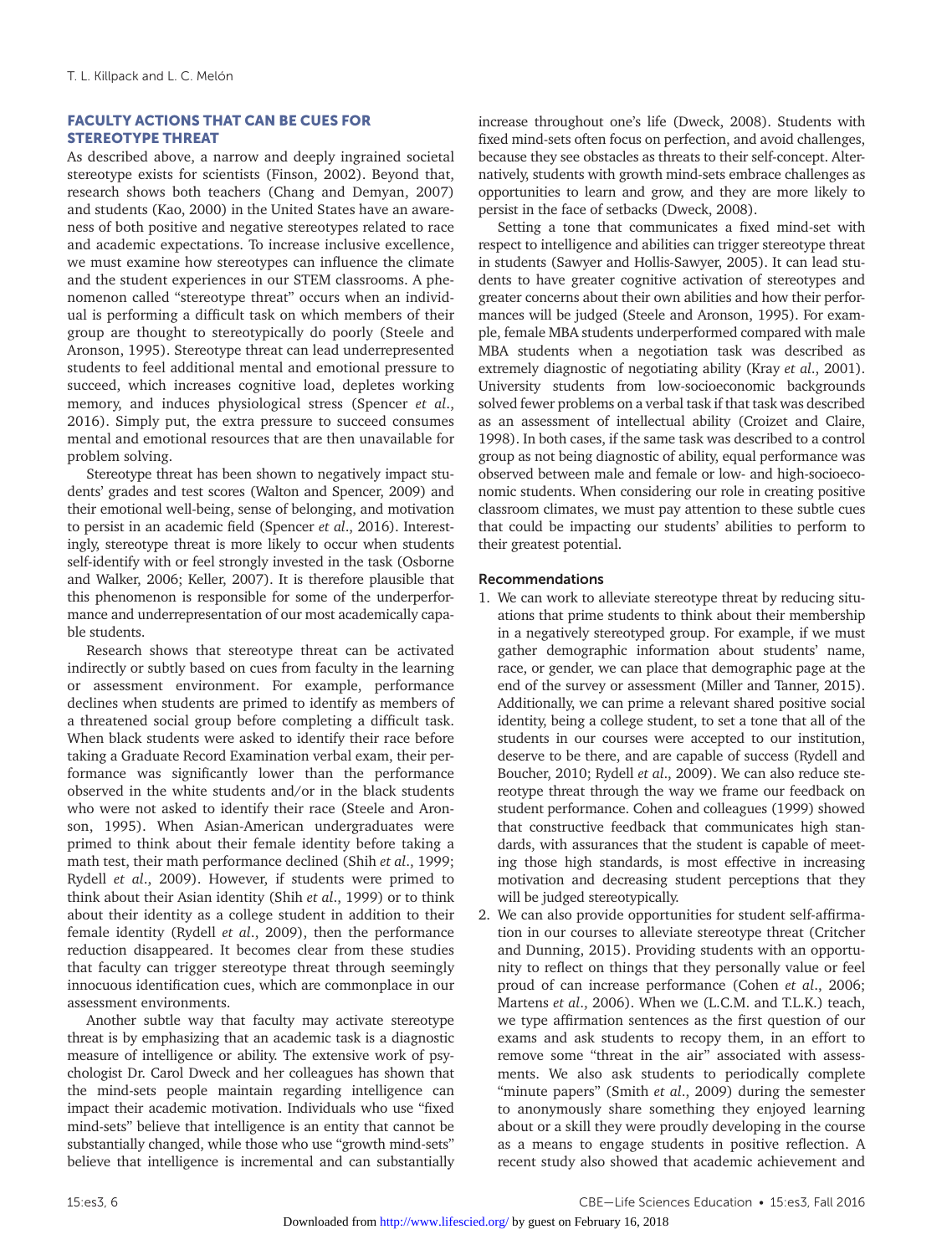# FACULTY ACTIONS THAT CAN BE CUES FOR STEREOTYPE THREAT

As described above, a narrow and deeply ingrained societal stereotype exists for scientists (Finson, 2002). Beyond that, research shows both teachers (Chang and Demyan, 2007) and students (Kao, 2000) in the United States have an awareness of both positive and negative stereotypes related to race and academic expectations. To increase inclusive excellence, we must examine how stereotypes can influence the climate and the student experiences in our STEM classrooms. A phenomenon called "stereotype threat" occurs when an individual is performing a difficult task on which members of their group are thought to stereotypically do poorly (Steele and Aronson, 1995). Stereotype threat can lead underrepresented students to feel additional mental and emotional pressure to succeed, which increases cognitive load, depletes working memory, and induces physiological stress (Spencer *et al*., 2016). Simply put, the extra pressure to succeed consumes mental and emotional resources that are then unavailable for problem solving.

Stereotype threat has been shown to negatively impact students' grades and test scores (Walton and Spencer, 2009) and their emotional well-being, sense of belonging, and motivation to persist in an academic field (Spencer *et al*., 2016). Interestingly, stereotype threat is more likely to occur when students self-identify with or feel strongly invested in the task (Osborne and Walker, 2006; Keller, 2007). It is therefore plausible that this phenomenon is responsible for some of the underperformance and underrepresentation of our most academically capable students.

Research shows that stereotype threat can be activated indirectly or subtly based on cues from faculty in the learning or assessment environment. For example, performance declines when students are primed to identify as members of a threatened social group before completing a difficult task. When black students were asked to identify their race before taking a Graduate Record Examination verbal exam, their performance was significantly lower than the performance observed in the white students and/or in the black students who were not asked to identify their race (Steele and Aronson, 1995). When Asian-American undergraduates were primed to think about their female identity before taking a math test, their math performance declined (Shih *et al*., 1999; Rydell *et al*., 2009). However, if students were primed to think about their Asian identity (Shih *et al*., 1999) or to think about their identity as a college student in addition to their female identity (Rydell *et al*., 2009), then the performance reduction disappeared. It becomes clear from these studies that faculty can trigger stereotype threat through seemingly innocuous identification cues, which are commonplace in our assessment environments.

Another subtle way that faculty may activate stereotype threat is by emphasizing that an academic task is a diagnostic measure of intelligence or ability. The extensive work of psychologist Dr. Carol Dweck and her colleagues has shown that the mind-sets people maintain regarding intelligence can impact their academic motivation. Individuals who use "fixed mind-sets" believe that intelligence is an entity that cannot be substantially changed, while those who use "growth mind-sets" believe that intelligence is incremental and can substantially increase throughout one's life (Dweck, 2008). Students with fixed mind-sets often focus on perfection, and avoid challenges, because they see obstacles as threats to their self-concept. Alternatively, students with growth mind-sets embrace challenges as opportunities to learn and grow, and they are more likely to persist in the face of setbacks (Dweck, 2008).

Setting a tone that communicates a fixed mind-set with respect to intelligence and abilities can trigger stereotype threat in students (Sawyer and Hollis-Sawyer, 2005). It can lead students to have greater cognitive activation of stereotypes and greater concerns about their own abilities and how their performances will be judged (Steele and Aronson, 1995). For example, female MBA students underperformed compared with male MBA students when a negotiation task was described as extremely diagnostic of negotiating ability (Kray *et al*., 2001). University students from low-socioeconomic backgrounds solved fewer problems on a verbal task if that task was described as an assessment of intellectual ability (Croizet and Claire, 1998). In both cases, if the same task was described to a control group as not being diagnostic of ability, equal performance was observed between male and female or low- and high-socioeconomic students. When considering our role in creating positive classroom climates, we must pay attention to these subtle cues that could be impacting our students' abilities to perform to their greatest potential.

# Recommendations

- 1. We can work to alleviate stereotype threat by reducing situations that prime students to think about their membership in a negatively stereotyped group. For example, if we must gather demographic information about students' name, race, or gender, we can place that demographic page at the end of the survey or assessment (Miller and Tanner, 2015). Additionally, we can prime a relevant shared positive social identity, being a college student, to set a tone that all of the students in our courses were accepted to our institution, deserve to be there, and are capable of success (Rydell and Boucher, 2010; Rydell *et al*., 2009). We can also reduce stereotype threat through the way we frame our feedback on student performance. Cohen and colleagues (1999) showed that constructive feedback that communicates high standards, with assurances that the student is capable of meeting those high standards, is most effective in increasing motivation and decreasing student perceptions that they will be judged stereotypically.
- 2. We can also provide opportunities for student self-affirmation in our courses to alleviate stereotype threat (Critcher and Dunning, 2015). Providing students with an opportunity to reflect on things that they personally value or feel proud of can increase performance (Cohen *et al*., 2006; Martens *et al*., 2006). When we (L.C.M. and T.L.K.) teach, we type affirmation sentences as the first question of our exams and ask students to recopy them, in an effort to remove some "threat in the air" associated with assessments. We also ask students to periodically complete "minute papers" (Smith *et al*., 2009) during the semester to anonymously share something they enjoyed learning about or a skill they were proudly developing in the course as a means to engage students in positive reflection. A recent study also showed that academic achievement and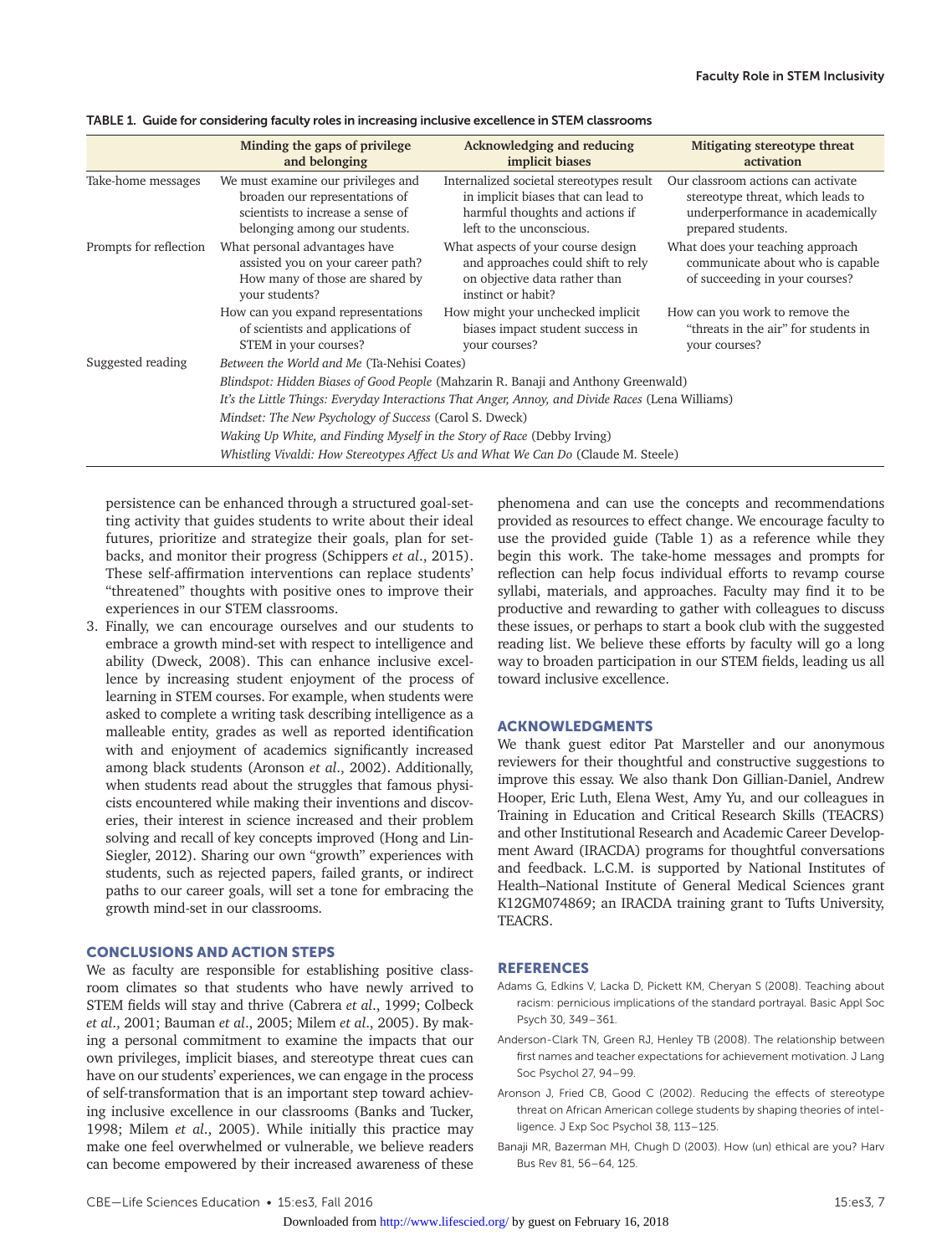|                        | Minding the gaps of privilege<br>and belonging                                                                                             | Acknowledging and reducing<br>implicit biases                                                                                                  | Mitigating stereotype threat<br>activation                                                                                        |  |  |  |
|------------------------|--------------------------------------------------------------------------------------------------------------------------------------------|------------------------------------------------------------------------------------------------------------------------------------------------|-----------------------------------------------------------------------------------------------------------------------------------|--|--|--|
| Take-home messages     | We must examine our privileges and<br>broaden our representations of<br>scientists to increase a sense of<br>belonging among our students. | Internalized societal stereotypes result<br>in implicit biases that can lead to<br>harmful thoughts and actions if<br>left to the unconscious. | Our classroom actions can activate<br>stereotype threat, which leads to<br>underperformance in academically<br>prepared students. |  |  |  |
| Prompts for reflection | What personal advantages have<br>assisted you on your career path?<br>How many of those are shared by<br>your students?                    | What aspects of your course design<br>and approaches could shift to rely<br>on objective data rather than<br>instinct or habit?                | What does your teaching approach<br>communicate about who is capable<br>of succeeding in your courses?                            |  |  |  |
|                        | How can you expand representations<br>of scientists and applications of<br>STEM in your courses?                                           | How might your unchecked implicit<br>biases impact student success in<br>vour courses?                                                         | How can you work to remove the<br>"threats in the air" for students in<br>your courses?                                           |  |  |  |
| Suggested reading      | Between the World and Me (Ta-Nehisi Coates)                                                                                                |                                                                                                                                                |                                                                                                                                   |  |  |  |
|                        | Blindspot: Hidden Biases of Good People (Mahzarin R. Banaji and Anthony Greenwald)                                                         |                                                                                                                                                |                                                                                                                                   |  |  |  |
|                        | It's the Little Things: Everyday Interactions That Anger, Annoy, and Divide Races (Lena Williams)                                          |                                                                                                                                                |                                                                                                                                   |  |  |  |
|                        | Mindset: The New Psychology of Success (Carol S. Dweck)                                                                                    |                                                                                                                                                |                                                                                                                                   |  |  |  |
|                        | Waking Up White, and Finding Myself in the Story of Race (Debby Irving)                                                                    |                                                                                                                                                |                                                                                                                                   |  |  |  |
|                        | Whistling Vivaldi: How Stereotypes Affect Us and What We Can Do (Claude M. Steele)                                                         |                                                                                                                                                |                                                                                                                                   |  |  |  |

|  |  |  |  | TABLE 1. Guide for considering faculty roles in increasing inclusive excellence in STEM classrooms |  |
|--|--|--|--|----------------------------------------------------------------------------------------------------|--|
|--|--|--|--|----------------------------------------------------------------------------------------------------|--|

persistence can be enhanced through a structured goal-setting activity that guides students to write about their ideal futures, prioritize and strategize their goals, plan for setbacks, and monitor their progress (Schippers *et al*., 2015). These self-affirmation interventions can replace students' "threatened" thoughts with positive ones to improve their experiences in our STEM classrooms.

3. Finally, we can encourage ourselves and our students to embrace a growth mind-set with respect to intelligence and ability (Dweck, 2008). This can enhance inclusive excellence by increasing student enjoyment of the process of learning in STEM courses. For example, when students were asked to complete a writing task describing intelligence as a malleable entity, grades as well as reported identification with and enjoyment of academics significantly increased among black students (Aronson *et al*., 2002). Additionally, when students read about the struggles that famous physicists encountered while making their inventions and discoveries, their interest in science increased and their problem solving and recall of key concepts improved (Hong and Lin-Siegler, 2012). Sharing our own "growth" experiences with students, such as rejected papers, failed grants, or indirect paths to our career goals, will set a tone for embracing the growth mind-set in our classrooms.

## CONCLUSIONS AND ACTION STEPS

We as faculty are responsible for establishing positive classroom climates so that students who have newly arrived to STEM fields will stay and thrive (Cabrera *et al*., 1999; Colbeck *et al*., 2001; Bauman *et al*., 2005; Milem *et al*., 2005). By making a personal commitment to examine the impacts that our own privileges, implicit biases, and stereotype threat cues can have on our students' experiences, we can engage in the process of self-transformation that is an important step toward achieving inclusive excellence in our classrooms (Banks and Tucker, 1998; Milem *et al*., 2005). While initially this practice may make one feel overwhelmed or vulnerable, we believe readers can become empowered by their increased awareness of these phenomena and can use the concepts and recommendations provided as resources to effect change. We encourage faculty to use the provided guide (Table 1) as a reference while they begin this work. The take-home messages and prompts for reflection can help focus individual efforts to revamp course syllabi, materials, and approaches. Faculty may find it to be productive and rewarding to gather with colleagues to discuss these issues, or perhaps to start a book club with the suggested reading list. We believe these efforts by faculty will go a long way to broaden participation in our STEM fields, leading us all toward inclusive excellence.

#### ACKNOWLEDGMENTS

We thank guest editor Pat Marsteller and our anonymous reviewers for their thoughtful and constructive suggestions to improve this essay. We also thank Don Gillian-Daniel, Andrew Hooper, Eric Luth, Elena West, Amy Yu, and our colleagues in Training in Education and Critical Research Skills (TEACRS) and other Institutional Research and Academic Career Development Award (IRACDA) programs for thoughtful conversations and feedback. L.C.M. is supported by National Institutes of Health–National Institute of General Medical Sciences grant K12GM074869; an IRACDA training grant to Tufts University, TEACRS.

## **REFERENCES**

- Adams G, Edkins V, Lacka D, Pickett KM, Cheryan S (2008). Teaching about racism: pernicious implications of the standard portrayal. Basic Appl Soc Psych 30, 349–361.
- Anderson-Clark TN, Green RJ, Henley TB (2008). The relationship between first names and teacher expectations for achievement motivation. J Lang Soc Psychol 27, 94–99.
- Aronson J, Fried CB, Good C (2002). Reducing the effects of stereotype threat on African American college students by shaping theories of intelligence. J Exp Soc Psychol 38, 113–125.
- Banaji MR, Bazerman MH, Chugh D (2003). How (un) ethical are you? Harv Bus Rev 81, 56–64, 125.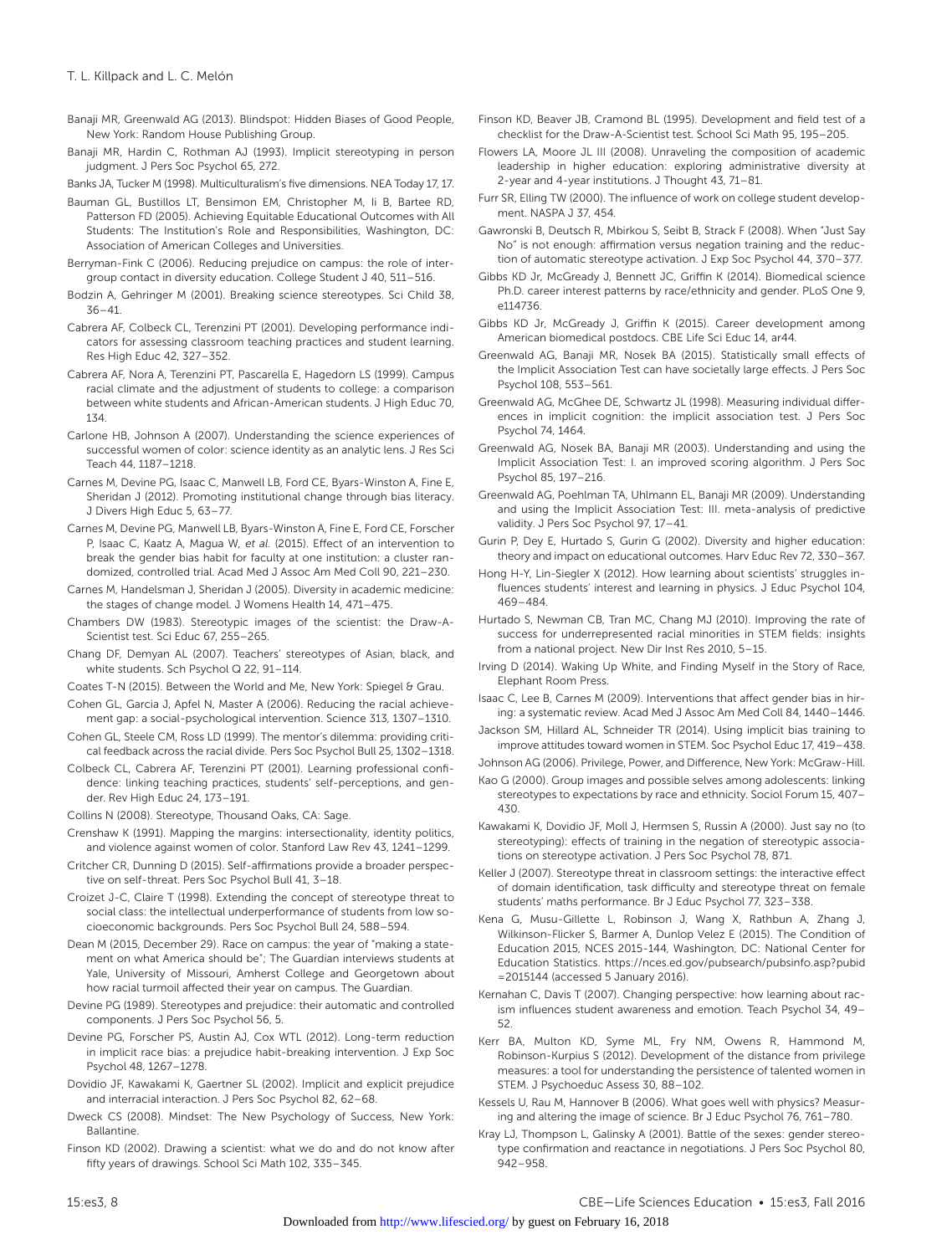- Banaji MR, Greenwald AG (2013). Blindspot: Hidden Biases of Good People, New York: Random House Publishing Group.
- Banaji MR, Hardin C, Rothman AJ (1993). Implicit stereotyping in person judgment. J Pers Soc Psychol 65, 272.

Banks JA, Tucker M (1998). Multiculturalism's five dimensions. NEA Today 17, 17.

- Bauman GL, Bustillos LT, Bensimon EM, Christopher M, Ii B, Bartee RD, Patterson FD (2005). Achieving Equitable Educational Outcomes with All Students: The Institution's Role and Responsibilities, Washington, DC: Association of American Colleges and Universities.
- Berryman-Fink C (2006). Reducing prejudice on campus: the role of intergroup contact in diversity education. College Student J 40, 511–516.
- Bodzin A, Gehringer M (2001). Breaking science stereotypes. Sci Child 38, 36–41.
- Cabrera AF, Colbeck CL, Terenzini PT (2001). Developing performance indicators for assessing classroom teaching practices and student learning. Res High Educ 42, 327–352.
- Cabrera AF, Nora A, Terenzini PT, Pascarella E, Hagedorn LS (1999). Campus racial climate and the adjustment of students to college: a comparison between white students and African-American students. J High Educ 70, 134.
- Carlone HB, Johnson A (2007). Understanding the science experiences of successful women of color: science identity as an analytic lens. J Res Sci Teach 44, 1187–1218.
- Carnes M, Devine PG, Isaac C, Manwell LB, Ford CE, Byars-Winston A, Fine E, Sheridan J (2012). Promoting institutional change through bias literacy. J Divers High Educ 5, 63–77.
- Carnes M, Devine PG, Manwell LB, Byars-Winston A, Fine E, Ford CE, Forscher P, Isaac C, Kaatz A, Magua W*, et al.* (2015). Effect of an intervention to break the gender bias habit for faculty at one institution: a cluster randomized, controlled trial. Acad Med J Assoc Am Med Coll 90, 221–230.
- Carnes M, Handelsman J, Sheridan J (2005). Diversity in academic medicine: the stages of change model. J Womens Health 14, 471–475.
- Chambers DW (1983). Stereotypic images of the scientist: the Draw-A-Scientist test. Sci Educ 67, 255–265.
- Chang DF, Demyan AL (2007). Teachers' stereotypes of Asian, black, and white students. Sch Psychol Q 22, 91–114.
- Coates T-N (2015). Between the World and Me, New York: Spiegel & Grau.
- Cohen GL, Garcia J, Apfel N, Master A (2006). Reducing the racial achievement gap: a social-psychological intervention. Science 313, 1307–1310.
- Cohen GL, Steele CM, Ross LD (1999). The mentor's dilemma: providing critical feedback across the racial divide. Pers Soc Psychol Bull 25, 1302–1318.
- Colbeck CL, Cabrera AF, Terenzini PT (2001). Learning professional confidence: linking teaching practices, students' self-perceptions, and gender. Rev High Educ 24, 173–191.

Collins N (2008). Stereotype, Thousand Oaks, CA: Sage.

Crenshaw K (1991). Mapping the margins: intersectionality, identity politics, and violence against women of color. Stanford Law Rev 43, 1241–1299.

- Critcher CR, Dunning D (2015). Self-affirmations provide a broader perspective on self-threat. Pers Soc Psychol Bull 41, 3–18.
- Croizet J-C, Claire T (1998). Extending the concept of stereotype threat to social class: the intellectual underperformance of students from low socioeconomic backgrounds. Pers Soc Psychol Bull 24, 588–594.

Dean M (2015, December 29). Race on campus: the year of "making a statement on what America should be"; The Guardian interviews students at Yale, University of Missouri, Amherst College and Georgetown about how racial turmoil affected their year on campus. The Guardian.

- Devine PG (1989). Stereotypes and prejudice: their automatic and controlled components. J Pers Soc Psychol 56, 5.
- Devine PG, Forscher PS, Austin AJ, Cox WTL (2012). Long-term reduction in implicit race bias: a prejudice habit-breaking intervention. J Exp Soc Psychol 48, 1267–1278.
- Dovidio JF, Kawakami K, Gaertner SL (2002). Implicit and explicit prejudice and interracial interaction. J Pers Soc Psychol 82, 62–68.
- Dweck CS (2008). Mindset: The New Psychology of Success, New York: Ballantine.
- Finson KD (2002). Drawing a scientist: what we do and do not know after fifty years of drawings. School Sci Math 102, 335–345.
- Finson KD, Beaver JB, Cramond BL (1995). Development and field test of a checklist for the Draw-A-Scientist test. School Sci Math 95, 195–205.
- Flowers LA, Moore JL III (2008). Unraveling the composition of academic leadership in higher education: exploring administrative diversity at 2-year and 4-year institutions. J Thought 43, 71–81.
- Furr SR, Elling TW (2000). The influence of work on college student development. NASPA J 37, 454.
- Gawronski B, Deutsch R, Mbirkou S, Seibt B, Strack F (2008). When "Just Say No" is not enough: affirmation versus negation training and the reduction of automatic stereotype activation. J Exp Soc Psychol 44, 370–377.
- Gibbs KD Jr, McGready J, Bennett JC, Griffin K (2014). Biomedical science Ph.D. career interest patterns by race/ethnicity and gender. PLoS One 9, e114736.
- Gibbs KD Jr, McGready J, Griffin K (2015). Career development among American biomedical postdocs. CBE Life Sci Educ 14, ar44.
- Greenwald AG, Banaji MR, Nosek BA (2015). Statistically small effects of the Implicit Association Test can have societally large effects. J Pers Soc Psychol 108, 553–561.
- Greenwald AG, McGhee DE, Schwartz JL (1998). Measuring individual differences in implicit cognition: the implicit association test. J Pers Soc Psychol 74, 1464.
- Greenwald AG, Nosek BA, Banaji MR (2003). Understanding and using the Implicit Association Test: I. an improved scoring algorithm. J Pers Soc Psychol 85, 197–216.
- Greenwald AG, Poehlman TA, Uhlmann EL, Banaji MR (2009). Understanding and using the Implicit Association Test: III. meta-analysis of predictive validity. J Pers Soc Psychol 97, 17–41.
- Gurin P, Dey E, Hurtado S, Gurin G (2002). Diversity and higher education: theory and impact on educational outcomes. Harv Educ Rev 72, 330–367.
- Hong H-Y, Lin-Siegler X (2012). How learning about scientists' struggles influences students' interest and learning in physics. J Educ Psychol 104, 469–484.
- Hurtado S, Newman CB, Tran MC, Chang MJ (2010). Improving the rate of success for underrepresented racial minorities in STEM fields: insights from a national project. New Dir Inst Res 2010, 5–15.
- Irving D (2014). Waking Up White, and Finding Myself in the Story of Race, Elephant Room Press.
- Isaac C, Lee B, Carnes M (2009). Interventions that affect gender bias in hiring: a systematic review. Acad Med J Assoc Am Med Coll 84, 1440–1446.
- Jackson SM, Hillard AL, Schneider TR (2014). Using implicit bias training to improve attitudes toward women in STEM. Soc Psychol Educ 17, 419–438.

Johnson AG (2006). Privilege, Power, and Difference, New York: McGraw-Hill.

- Kao G (2000). Group images and possible selves among adolescents: linking stereotypes to expectations by race and ethnicity. Sociol Forum 15, 407– 430.
- Kawakami K, Dovidio JF, Moll J, Hermsen S, Russin A (2000). Just say no (to stereotyping): effects of training in the negation of stereotypic associations on stereotype activation. J Pers Soc Psychol 78, 871.
- Keller J (2007). Stereotype threat in classroom settings: the interactive effect of domain identification, task difficulty and stereotype threat on female students' maths performance. Br J Educ Psychol 77, 323–338.
- Kena G, Musu-Gillette L, Robinson J, Wang X, Rathbun A, Zhang J, Wilkinson-Flicker S, Barmer A, Dunlop Velez E (2015). The Condition of Education 2015, NCES 2015-144, Washington, DC: National Center for Education Statistics. https://nces.ed.gov/pubsearch/pubsinfo.asp?pubid =2015144 (accessed 5 January 2016).
- Kernahan C, Davis T (2007). Changing perspective: how learning about racism influences student awareness and emotion. Teach Psychol 34, 49– 52.
- Kerr BA, Multon KD, Syme ML, Fry NM, Owens R, Hammond M, Robinson-Kurpius S (2012). Development of the distance from privilege measures: a tool for understanding the persistence of talented women in STEM. J Psychoeduc Assess 30, 88–102.
- Kessels U, Rau M, Hannover B (2006). What goes well with physics? Measuring and altering the image of science. Br J Educ Psychol 76, 761–780.
- Kray LJ, Thompson L, Galinsky A (2001). Battle of the sexes: gender stereotype confirmation and reactance in negotiations. J Pers Soc Psychol 80, 942–958.